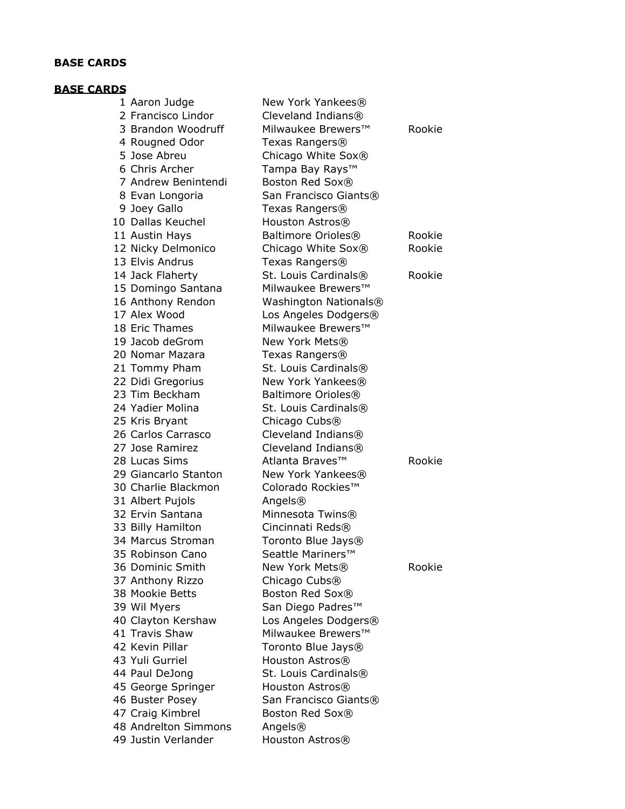# **BASE CARDS**

# **BASE CARDS**

| 48 Andrelton Simmons | 47 Craig Kimbrel     | Boston Red Sox®                  |        |
|----------------------|----------------------|----------------------------------|--------|
|                      | 46 Buster Posey      | San Francisco Giants®            |        |
|                      | 45 George Springer   | Houston Astros®                  |        |
|                      | 44 Paul DeJong       | St. Louis Cardinals®             |        |
|                      | 43 Yuli Gurriel      | Houston Astros®                  |        |
|                      | 42 Kevin Pillar      | Toronto Blue Jays®               |        |
|                      | 41 Travis Shaw       | Milwaukee Brewers™               |        |
|                      | 40 Clayton Kershaw   | Los Angeles Dodgers®             |        |
|                      | 39 Wil Myers         | San Diego Padres™                |        |
|                      | 38 Mookie Betts      | Boston Red Sox®                  |        |
|                      | 37 Anthony Rizzo     | Chicago Cubs <sup>®</sup>        |        |
|                      | 36 Dominic Smith     | New York Mets®                   | Rookie |
|                      | 35 Robinson Cano     | Seattle Mariners™                |        |
|                      | 34 Marcus Stroman    | Toronto Blue Jays®               |        |
|                      | 33 Billy Hamilton    | Cincinnati Reds®                 |        |
|                      | 32 Ervin Santana     | Minnesota Twins®                 |        |
|                      | 31 Albert Pujols     | Angels®                          |        |
|                      | 30 Charlie Blackmon  | Colorado Rockies™                |        |
|                      | 29 Giancarlo Stanton | New York Yankees®                |        |
|                      | 28 Lucas Sims        | Atlanta Braves™                  | Rookie |
|                      | 27 Jose Ramirez      | Cleveland Indians®               |        |
|                      | 26 Carlos Carrasco   | Cleveland Indians®               |        |
|                      | 25 Kris Bryant       | Chicago Cubs <sup>®</sup>        |        |
|                      | 24 Yadier Molina     | St. Louis Cardinals®             |        |
|                      | 23 Tim Beckham       | Baltimore Orioles®               |        |
|                      | 22 Didi Gregorius    | New York Yankees®                |        |
|                      | 21 Tommy Pham        | St. Louis Cardinals®             |        |
|                      | 20 Nomar Mazara      | Texas Rangers®                   |        |
|                      | 19 Jacob deGrom      | New York Mets®                   |        |
|                      | 18 Eric Thames       | Milwaukee Brewers <sup>™</sup>   |        |
|                      | 17 Alex Wood         | Los Angeles Dodgers®             |        |
|                      | 16 Anthony Rendon    | Washington Nationals®            |        |
|                      | 15 Domingo Santana   | Milwaukee Brewers <sup>™</sup>   |        |
|                      | 14 Jack Flaherty     | St. Louis Cardinals <sup>®</sup> | Rookie |
|                      | 13 Elvis Andrus      | Texas Rangers®                   |        |
|                      | 12 Nicky Delmonico   | Chicago White Sox®               | Rookie |
|                      | 11 Austin Hays       | Baltimore Orioles®               | Rookie |
|                      | 10 Dallas Keuchel    | Houston Astros®                  |        |
|                      | 9 Joey Gallo         | Texas Rangers®                   |        |
|                      | 8 Evan Longoria      | San Francisco Giants®            |        |
|                      | 7 Andrew Benintendi  | Boston Red Sox®                  |        |
|                      | 6 Chris Archer       | Tampa Bay Rays™                  |        |
|                      | 5 Jose Abreu         | Chicago White Sox®               |        |
|                      | 4 Rougned Odor       | Texas Rangers®                   |        |
|                      | 3 Brandon Woodruff   | Milwaukee Brewers™               | Rookie |
|                      | 2 Francisco Lindor   | Cleveland Indians®               |        |
|                      | 1 Aaron Judge        | New York Yankees®                |        |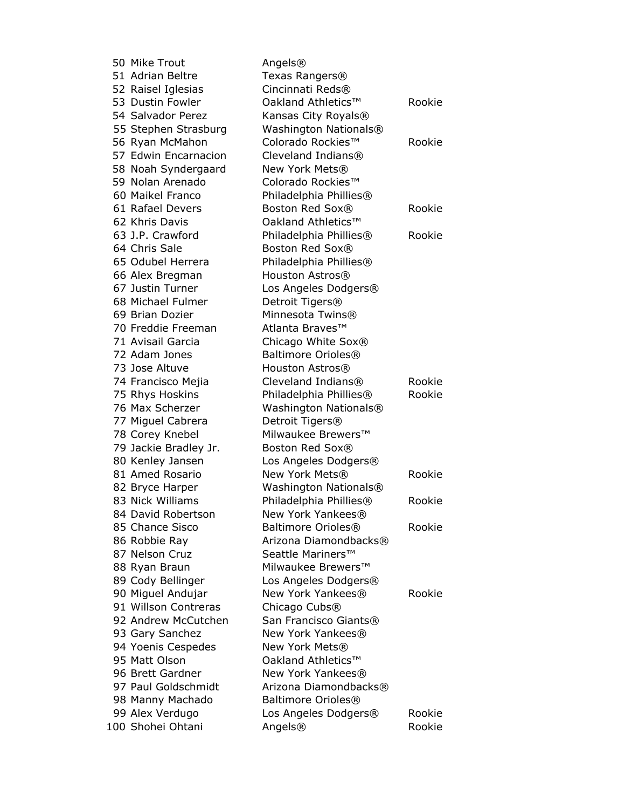| 50 Mike Trout                               | Angels®                                            |        |
|---------------------------------------------|----------------------------------------------------|--------|
| 51 Adrian Beltre                            | Texas Rangers <sup>®</sup>                         |        |
| 52 Raisel Iglesias                          | Cincinnati Reds®                                   |        |
| 53 Dustin Fowler                            | Oakland Athletics™                                 | Rookie |
| 54 Salvador Perez                           | Kansas City Royals®                                |        |
| 55 Stephen Strasburg                        | Washington Nationals®                              |        |
| 56 Ryan McMahon                             | Colorado Rockies™                                  | Rookie |
| 57 Edwin Encarnacion                        | Cleveland Indians®                                 |        |
| 58 Noah Syndergaard                         | New York Mets®                                     |        |
| 59 Nolan Arenado                            | Colorado Rockies™                                  |        |
| 60 Maikel Franco                            | Philadelphia Phillies®                             |        |
| 61 Rafael Devers                            | Boston Red Sox®                                    | Rookie |
| 62 Khris Davis                              | Oakland Athletics™                                 |        |
| 63 J.P. Crawford                            | Philadelphia Phillies®                             | Rookie |
| 64 Chris Sale                               | Boston Red Sox®                                    |        |
| 65 Odubel Herrera                           | Philadelphia Phillies®                             |        |
| 66 Alex Bregman                             | Houston Astros®                                    |        |
| 67 Justin Turner                            | Los Angeles Dodgers®                               |        |
| 68 Michael Fulmer                           | Detroit Tigers <sup>®</sup>                        |        |
| 69 Brian Dozier                             | Minnesota Twins®                                   |        |
| 70 Freddie Freeman                          | Atlanta Braves™                                    |        |
| 71 Avisail Garcia                           | Chicago White Sox®                                 |        |
| 72 Adam Jones                               | Baltimore Orioles <sup>®</sup>                     |        |
| 73 Jose Altuve                              | Houston Astros®                                    |        |
| 74 Francisco Mejia                          | Cleveland Indians®                                 | Rookie |
| 75 Rhys Hoskins                             | Philadelphia Phillies®                             | Rookie |
| 76 Max Scherzer                             | Washington Nationals®                              |        |
| 77 Miguel Cabrera                           | Detroit Tigers®                                    |        |
| 78 Corey Knebel                             | Milwaukee Brewers™                                 |        |
| 79 Jackie Bradley Jr.                       | Boston Red Sox®                                    |        |
| 80 Kenley Jansen                            | Los Angeles Dodgers®                               |        |
| 81 Amed Rosario                             | New York Mets®                                     | Rookie |
| 82 Bryce Harper                             | Washington Nationals®                              |        |
| 83 Nick Williams                            | Philadelphia Phillies®                             | Rookie |
| 84 David Robertson                          | New York Yankees®                                  |        |
| 85 Chance Sisco                             | Baltimore Orioles <sup>®</sup>                     | Rookie |
| 86 Robbie Ray                               | Arizona Diamondbacks®                              |        |
| 87 Nelson Cruz                              | Seattle Mariners™                                  |        |
| 88 Ryan Braun                               | Milwaukee Brewers™                                 |        |
|                                             | Los Angeles Dodgers®                               |        |
| 89 Cody Bellinger                           | New York Yankees®                                  | Rookie |
| 90 Miguel Andujar                           |                                                    |        |
| 91 Willson Contreras<br>92 Andrew McCutchen | Chicago Cubs <sup>®</sup><br>San Francisco Giants® |        |
|                                             |                                                    |        |
| 93 Gary Sanchez                             | New York Yankees®                                  |        |
| 94 Yoenis Cespedes                          | New York Mets®                                     |        |
| 95 Matt Olson                               | Oakland Athletics™                                 |        |
| 96 Brett Gardner                            | New York Yankees®                                  |        |
| 97 Paul Goldschmidt                         | Arizona Diamondbacks®                              |        |
| 98 Manny Machado                            | Baltimore Orioles®                                 |        |
| 99 Alex Verdugo                             | Los Angeles Dodgers®                               | Rookie |
| 100 Shohei Ohtani                           | Angels®                                            | Rookie |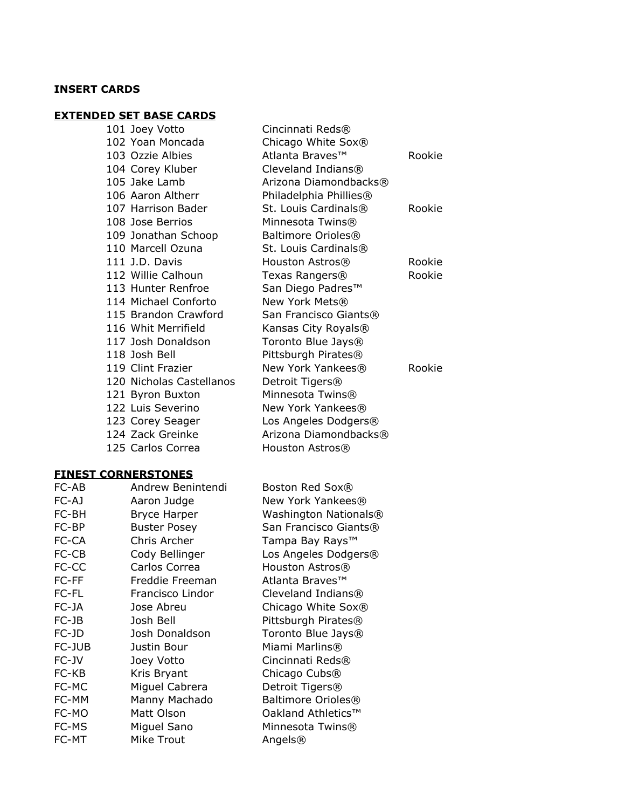## **INSERT CARDS**

# **EXTENDED SET BASE CARDS**

|  | 101 Joey Votto           | Cincinnati Reds®                 |        |
|--|--------------------------|----------------------------------|--------|
|  | 102 Yoan Moncada         | Chicago White Sox®               |        |
|  | 103 Ozzie Albies         | Atlanta Braves™                  | Rookie |
|  | 104 Corey Kluber         | Cleveland Indians®               |        |
|  | 105 Jake Lamb            | Arizona Diamondbacks®            |        |
|  | 106 Aaron Altherr        | Philadelphia Phillies®           |        |
|  | 107 Harrison Bader       | St. Louis Cardinals <sup>®</sup> | Rookie |
|  | 108 Jose Berrios         | Minnesota Twins®                 |        |
|  | 109 Jonathan Schoop      | Baltimore Orioles <sup>®</sup>   |        |
|  | 110 Marcell Ozuna        | St. Louis Cardinals <sup>®</sup> |        |
|  | 111 J.D. Davis           | Houston Astros®                  | Rookie |
|  | 112 Willie Calhoun       | Texas Rangers®                   | Rookie |
|  | 113 Hunter Renfroe       | San Diego Padres™                |        |
|  | 114 Michael Conforto     | New York Mets®                   |        |
|  | 115 Brandon Crawford     | San Francisco Giants®            |        |
|  | 116 Whit Merrifield      | Kansas City Royals®              |        |
|  | 117 Josh Donaldson       | Toronto Blue Jays <sup>®</sup>   |        |
|  | 118 Josh Bell            | Pittsburgh Pirates®              |        |
|  | 119 Clint Frazier        | New York Yankees®                | Rookie |
|  | 120 Nicholas Castellanos | Detroit Tigers®                  |        |
|  | 121 Byron Buxton         | Minnesota Twins®                 |        |
|  | 122 Luis Severino        | New York Yankees®                |        |
|  | 123 Corey Seager         | Los Angeles Dodgers®             |        |
|  | 124 Zack Greinke         | Arizona Diamondbacks®            |        |
|  | 125 Carlos Correa        | Houston Astros®                  |        |
|  |                          |                                  |        |

# **FINEST CORNERSTONES**

| FC-AB  | Andrew Benintendi   | Boston Red Sox®                |
|--------|---------------------|--------------------------------|
| FC-AJ  | Aaron Judge         | New York Yankees®              |
| FC-BH  | <b>Bryce Harper</b> | Washington Nationals®          |
| FC-BP  | <b>Buster Posey</b> | San Francisco Giants®          |
| FC-CA  | Chris Archer        | Tampa Bay Rays™                |
| FC-CB  | Cody Bellinger      | Los Angeles Dodgers®           |
| FC-CC  | Carlos Correa       | Houston Astros®                |
| FC-FF  | Freddie Freeman     | Atlanta Braves™                |
| FC-FL  | Francisco Lindor    | Cleveland Indians®             |
| FC-JA  | Jose Abreu          | Chicago White Sox®             |
| FC-JB  | Josh Bell           | Pittsburgh Pirates®            |
| FC-JD  | Josh Donaldson      | Toronto Blue Jays®             |
| FC-JUB | Justin Bour         | Miami Marlins®                 |
| FC-JV  | Joey Votto          | Cincinnati Reds®               |
| FC-KB  | Kris Bryant         | Chicago Cubs <sup>®</sup>      |
| FC-MC  | Miguel Cabrera      | Detroit Tigers <sup>®</sup>    |
| FC-MM  | Manny Machado       | Baltimore Orioles <sup>®</sup> |
| FC-MO  | Matt Olson          | Oakland Athletics™             |
| FC-MS  | Miguel Sano         | Minnesota Twins®               |
| FC-MT  | Mike Trout          | Angels®                        |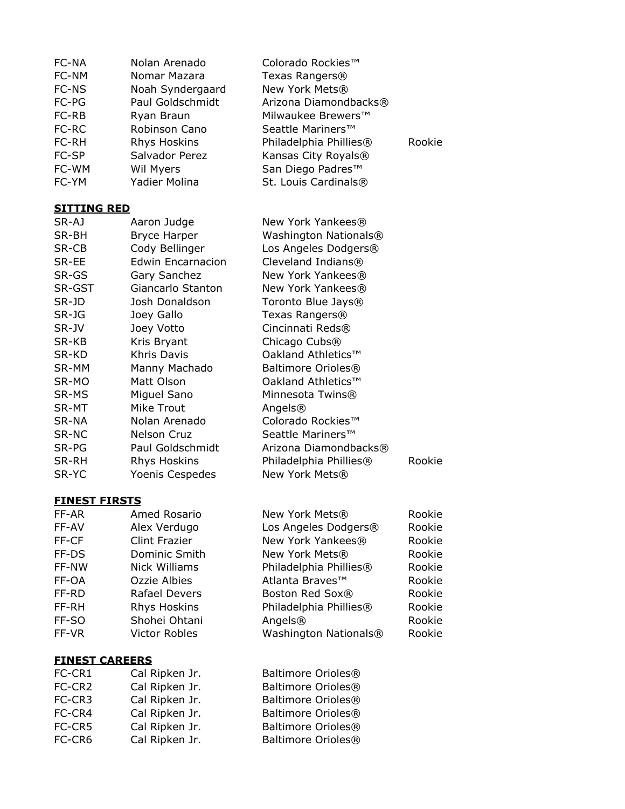| FC-NA<br>FC-NM        | Nolan Arenado<br>Nomar Mazara | Colorado Rockies™<br>Texas Rangers® |        |
|-----------------------|-------------------------------|-------------------------------------|--------|
| FC-NS                 | Noah Syndergaard              | New York Mets®                      |        |
| FC-PG                 | Paul Goldschmidt              | Arizona Diamondbacks®               |        |
| FC-RB                 | Ryan Braun                    | Milwaukee Brewers™                  |        |
| FC-RC                 | Robinson Cano                 | Seattle Mariners™                   |        |
| FC-RH                 | Rhys Hoskins                  | Philadelphia Phillies®              | Rookie |
| FC-SP                 | Salvador Perez                | Kansas City Royals®                 |        |
| FC-WM                 | Wil Myers                     | San Diego Padres™                   |        |
| FC-YM                 | Yadier Molina                 | St. Louis Cardinals®                |        |
| <b>SITTING RED</b>    |                               |                                     |        |
| SR-AJ                 | Aaron Judge                   | New York Yankees®                   |        |
| SR-BH                 | <b>Bryce Harper</b>           | Washington Nationals®               |        |
| SR-CB                 | Cody Bellinger                | Los Angeles Dodgers®                |        |
| SR-EE                 | <b>Edwin Encarnacion</b>      | Cleveland Indians®                  |        |
| SR-GS                 | Gary Sanchez                  | New York Yankees®                   |        |
| SR-GST                | Giancarlo Stanton             | New York Yankees®                   |        |
| SR-JD                 | Josh Donaldson                | Toronto Blue Jays®                  |        |
| SR-JG                 | Joey Gallo                    | Texas Rangers®                      |        |
| SR-JV                 | Joey Votto                    | Cincinnati Reds®                    |        |
| SR-KB                 | Kris Bryant                   | Chicago Cubs <sup>®</sup>           |        |
| SR-KD                 | <b>Khris Davis</b>            | Oakland Athletics™                  |        |
| SR-MM                 | Manny Machado                 | Baltimore Orioles <sup>®</sup>      |        |
| SR-MO                 | Matt Olson                    | Oakland Athletics™                  |        |
| SR-MS                 | Miguel Sano                   | Minnesota Twins®                    |        |
| SR-MT                 | Mike Trout                    | Angels®                             |        |
| SR-NA                 | Nolan Arenado                 | Colorado Rockies™                   |        |
| SR-NC                 | Nelson Cruz                   | Seattle Mariners™                   |        |
| SR-PG                 | Paul Goldschmidt              | Arizona Diamondbacks®               |        |
| SR-RH                 | Rhys Hoskins                  | Philadelphia Phillies®              | Rookie |
| SR-YC                 | Yoenis Cespedes               | New York Mets®                      |        |
| <b>FINEST FIRSTS</b>  |                               |                                     |        |
| FF-AR                 | Amed Rosario                  | New York Mets®                      | Rookie |
| FF-AV                 | Alex Verdugo                  | Los Angeles Dodgers®                | Rookie |
| FF-CF                 | <b>Clint Frazier</b>          | New York Yankees®                   | Rookie |
| FF-DS                 | Dominic Smith                 | New York Mets®                      | Rookie |
| FF-NW                 | <b>Nick Williams</b>          | Philadelphia Phillies®              | Rookie |
| FF-OA                 | Ozzie Albies                  | Atlanta Braves™                     | Rookie |
| FF-RD                 | Rafael Devers                 | Boston Red Sox®                     | Rookie |
| FF-RH                 | Rhys Hoskins                  | Philadelphia Phillies®              | Rookie |
| FF-SO                 | Shohei Ohtani                 | Angels®                             | Rookie |
| FF-VR                 | <b>Victor Robles</b>          | Washington Nationals®               | Rookie |
| <b>FINEST CAREERS</b> |                               |                                     |        |
| FC-CR1                | Cal Ripken Jr.                | Baltimore Orioles <sup>®</sup>      |        |
| FC-CR2                | Cal Ripken Jr.                | Baltimore Orioles <sup>®</sup>      |        |
| FC-CR3                | Cal Ripken Jr.                | Baltimore Orioles <sup>®</sup>      |        |
| FC-CR4                | Cal Ripken Jr.                | Baltimore Orioles <sup>®</sup>      |        |
| FC-CR5                | Cal Ripken Jr.                | Baltimore Orioles <sup>®</sup>      |        |
| FC-CR6                | Cal Ripken Jr.                | Baltimore Orioles <sup>®</sup>      |        |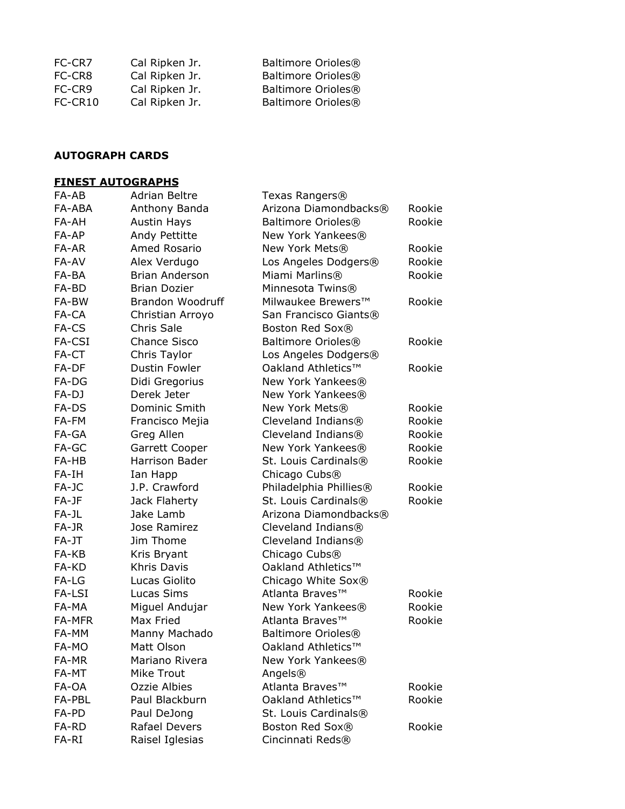| Cal Ripken Jr. | Baltimore Orioles® |
|----------------|--------------------|
| Cal Ripken Jr. | Baltimore Orioles® |
| Cal Ripken Jr. | Baltimore Orioles® |
| Cal Ripken Jr. | Baltimore Orioles® |
|                |                    |

### **AUTOGRAPH CARDS**

#### **FINEST AUTOGRAPHS**

| FA-AB  | <b>Adrian Beltre</b>    | Texas Rangers®                 |        |
|--------|-------------------------|--------------------------------|--------|
| FA-ABA | Anthony Banda           | Arizona Diamondbacks®          | Rookie |
| FA-AH  | <b>Austin Hays</b>      | Baltimore Orioles <sup>®</sup> | Rookie |
| FA-AP  | Andy Pettitte           | New York Yankees®              |        |
| FA-AR  | Amed Rosario            | New York Mets®                 | Rookie |
| FA-AV  | Alex Verdugo            | Los Angeles Dodgers®           | Rookie |
| FA-BA  | <b>Brian Anderson</b>   | Miami Marlins®                 | Rookie |
| FA-BD  | <b>Brian Dozier</b>     | Minnesota Twins®               |        |
| FA-BW  | <b>Brandon Woodruff</b> | Milwaukee Brewers™             | Rookie |
| FA-CA  | Christian Arroyo        | San Francisco Giants®          |        |
| FA-CS  | Chris Sale              | Boston Red Sox®                |        |
| FA-CSI | <b>Chance Sisco</b>     | Baltimore Orioles <sup>®</sup> | Rookie |
| FA-CT  | Chris Taylor            | Los Angeles Dodgers®           |        |
| FA-DF  | Dustin Fowler           | Oakland Athletics™             | Rookie |
| FA-DG  | Didi Gregorius          | New York Yankees®              |        |
| FA-DJ  | Derek Jeter             | New York Yankees®              |        |
| FA-DS  | Dominic Smith           | New York Mets®                 | Rookie |
| FA-FM  | Francisco Mejia         | Cleveland Indians®             | Rookie |
| FA-GA  | Greg Allen              | Cleveland Indians®             | Rookie |
| FA-GC  | Garrett Cooper          | New York Yankees®              | Rookie |
| FA-HB  | Harrison Bader          | St. Louis Cardinals®           | Rookie |
| FA-IH  | Ian Happ                | Chicago Cubs <sup>®</sup>      |        |
| FA-JC  | J.P. Crawford           | Philadelphia Phillies®         | Rookie |
| FA-JF  | Jack Flaherty           | St. Louis Cardinals®           | Rookie |
| FA-JL  | Jake Lamb               | Arizona Diamondbacks®          |        |
| FA-JR  | Jose Ramirez            | Cleveland Indians®             |        |
| FA-JT  | Jim Thome               | Cleveland Indians®             |        |
| FA-KB  | Kris Bryant             | Chicago Cubs <sup>®</sup>      |        |
| FA-KD  | <b>Khris Davis</b>      | Oakland Athletics™             |        |
| FA-LG  | Lucas Giolito           | Chicago White Sox®             |        |
| FA-LSI | Lucas Sims              | Atlanta Braves™                | Rookie |
| FA-MA  | Miguel Andujar          | New York Yankees®              | Rookie |
| FA-MFR | Max Fried               | Atlanta Braves™                | Rookie |
| FA-MM  | Manny Machado           | Baltimore Orioles®             |        |
| FA-MO  | Matt Olson              | Oakland Athletics™             |        |
| FA-MR  | Mariano Rivera          | New York Yankees®              |        |
| FA-MT  | Mike Trout              | Angels®                        |        |
| FA-OA  | Ozzie Albies            | Atlanta Braves™                | Rookie |
| FA-PBL | Paul Blackburn          | Oakland Athletics™             | Rookie |
| FA-PD  | Paul DeJong             | St. Louis Cardinals®           |        |
| FA-RD  | <b>Rafael Devers</b>    | Boston Red Sox®                | Rookie |
| FA-RI  | Raisel Iglesias         | Cincinnati Reds®               |        |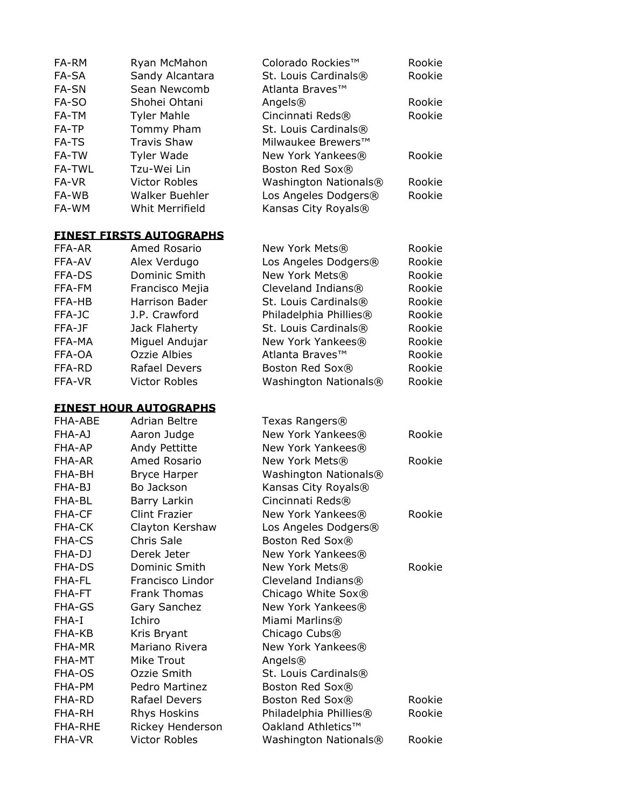| FA-RM          | Ryan McMahon                                          | Colorado Rockies™                          | Rookie           |
|----------------|-------------------------------------------------------|--------------------------------------------|------------------|
| FA-SA          | Sandy Alcantara                                       | St. Louis Cardinals®                       | Rookie           |
| FA-SN          | Sean Newcomb                                          | Atlanta Braves™                            |                  |
| FA-SO          | Shohei Ohtani                                         | Angels®                                    | Rookie           |
| FA-TM          | <b>Tyler Mahle</b>                                    | Cincinnati Reds®                           | Rookie           |
| FA-TP          | Tommy Pham                                            | St. Louis Cardinals®                       |                  |
| FA-TS          | <b>Travis Shaw</b>                                    | Milwaukee Brewers™                         |                  |
| FA-TW          | Tyler Wade                                            | New York Yankees®                          | Rookie           |
| <b>FA-TWL</b>  | Tzu-Wei Lin                                           | Boston Red Sox®                            |                  |
| FA-VR          | <b>Victor Robles</b>                                  | Washington Nationals®                      | Rookie           |
| FA-WB          | <b>Walker Buehler</b>                                 | Los Angeles Dodgers®                       | Rookie           |
| FA-WM          | Whit Merrifield                                       | Kansas City Royals®                        |                  |
|                | <b>FINEST FIRSTS AUTOGRAPHS</b>                       |                                            |                  |
| FFA-AR         | Amed Rosario                                          |                                            |                  |
| FFA-AV         |                                                       | New York Mets®                             | Rookie<br>Rookie |
|                | Alex Verdugo                                          | Los Angeles Dodgers®<br>New York Mets®     |                  |
| FFA-DS         | Dominic Smith                                         |                                            | Rookie           |
| FFA-FM         | Francisco Mejia                                       | Cleveland Indians®<br>St. Louis Cardinals® | Rookie           |
| FFA-HB         | Harrison Bader                                        |                                            | Rookie           |
| FFA-JC         | J.P. Crawford                                         | Philadelphia Phillies®                     | Rookie           |
| FFA-JF         | Jack Flaherty                                         | St. Louis Cardinals®                       | Rookie           |
| FFA-MA         | Miguel Andujar                                        | New York Yankees®                          | Rookie           |
| FFA-OA         | Ozzie Albies                                          | Atlanta Braves™                            | Rookie           |
| FFA-RD         | Rafael Devers                                         | Boston Red Sox®                            | Rookie           |
| FFA-VR         | <b>Victor Robles</b>                                  | Washington Nationals®                      | Rookie           |
|                |                                                       |                                            |                  |
|                |                                                       |                                            |                  |
| FHA-ABE        | <b>FINEST HOUR AUTOGRAPHS</b><br><b>Adrian Beltre</b> |                                            |                  |
| FHA-AJ         |                                                       | Texas Rangers®<br>New York Yankees®        | Rookie           |
| FHA-AP         | Aaron Judge                                           | New York Yankees®                          |                  |
| FHA-AR         | Andy Pettitte<br>Amed Rosario                         | New York Mets®                             | Rookie           |
| FHA-BH         |                                                       |                                            |                  |
| FHA-BJ         | <b>Bryce Harper</b><br>Bo Jackson                     | Washington Nationals®                      |                  |
| FHA-BL         | Barry Larkin                                          | Kansas City Royals®<br>Cincinnati Reds®    |                  |
| FHA-CF         | <b>Clint Frazier</b>                                  | New York Yankees®                          | Rookie           |
| <b>FHA-CK</b>  | Clayton Kershaw                                       | Los Angeles Dodgers®                       |                  |
| <b>FHA-CS</b>  | Chris Sale                                            | Boston Red Sox®                            |                  |
| FHA-DJ         | Derek Jeter                                           | New York Yankees®                          |                  |
| <b>FHA-DS</b>  | Dominic Smith                                         | New York Mets®                             | Rookie           |
| FHA-FL         | Francisco Lindor                                      | Cleveland Indians®                         |                  |
| FHA-FT         | <b>Frank Thomas</b>                                   | Chicago White Sox®                         |                  |
| <b>FHA-GS</b>  | Gary Sanchez                                          | New York Yankees®                          |                  |
| FHA-I          | Ichiro                                                | Miami Marlins®                             |                  |
| FHA-KB         | Kris Bryant                                           | Chicago Cubs <sup>®</sup>                  |                  |
| FHA-MR         | Mariano Rivera                                        | New York Yankees®                          |                  |
| FHA-MT         | Mike Trout                                            | Angels®                                    |                  |
| FHA-OS         | Ozzie Smith                                           | St. Louis Cardinals®                       |                  |
| FHA-PM         | Pedro Martinez                                        | Boston Red Sox®                            |                  |
| FHA-RD         | Rafael Devers                                         | Boston Red Sox®                            | Rookie           |
| FHA-RH         | Rhys Hoskins                                          | Philadelphia Phillies®                     | Rookie           |
| <b>FHA-RHE</b> | Rickey Henderson                                      | Oakland Athletics™                         |                  |